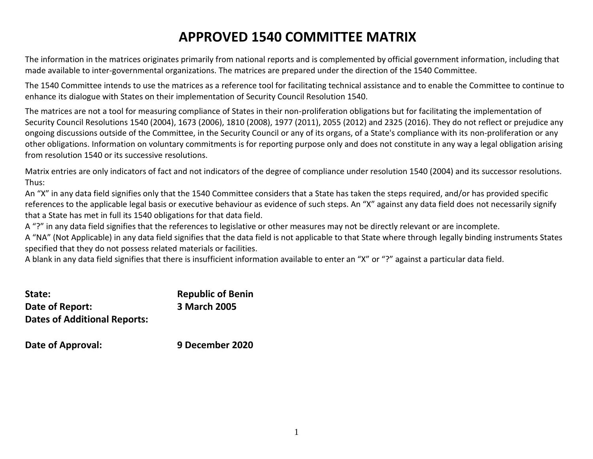# **APPROVED 1540 COMMITTEE MATRIX**

The information in the matrices originates primarily from national reports and is complemented by official government information, including that made available to inter-governmental organizations. The matrices are prepared under the direction of the 1540 Committee.

The 1540 Committee intends to use the matrices as a reference tool for facilitating technical assistance and to enable the Committee to continue to enhance its dialogue with States on their implementation of Security Council Resolution 1540.

The matrices are not a tool for measuring compliance of States in their non-proliferation obligations but for facilitating the implementation of Security Council Resolutions 1540 (2004), 1673 (2006), 1810 (2008), 1977 (2011), 2055 (2012) and 2325 (2016). They do not reflect or prejudice any ongoing discussions outside of the Committee, in the Security Council or any of its organs, of a State's compliance with its non-proliferation or any other obligations. Information on voluntary commitments is for reporting purpose only and does not constitute in any way a legal obligation arising from resolution 1540 or its successive resolutions.

Matrix entries are only indicators of fact and not indicators of the degree of compliance under resolution 1540 (2004) and its successor resolutions. Thus:

An "X" in any data field signifies only that the 1540 Committee considers that a State has taken the steps required, and/or has provided specific references to the applicable legal basis or executive behaviour as evidence of such steps. An "X" against any data field does not necessarily signify that a State has met in full its 1540 obligations for that data field.

A "?" in any data field signifies that the references to legislative or other measures may not be directly relevant or are incomplete.

A "NA" (Not Applicable) in any data field signifies that the data field is not applicable to that State where through legally binding instruments States specified that they do not possess related materials or facilities.

A blank in any data field signifies that there is insufficient information available to enter an "X" or "?" against a particular data field.

| State:                              | <b>Republic of Benin</b> |
|-------------------------------------|--------------------------|
| Date of Report:                     | 3 March 2005             |
| <b>Dates of Additional Reports:</b> |                          |

**Date of Approval: 9 December 2020**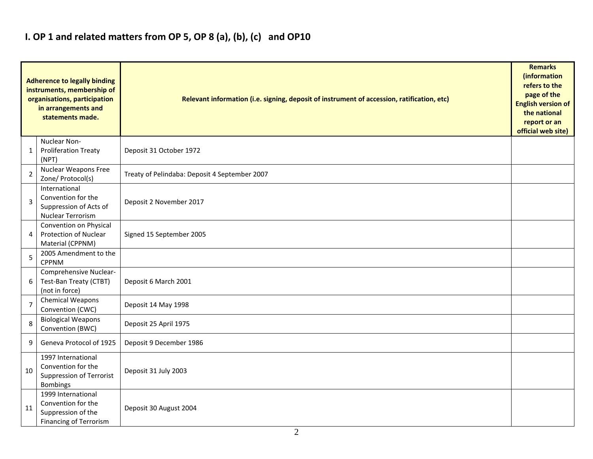## **I. OP 1 and related matters from OP 5, OP 8 (a), (b), (c) and OP10**

|                | <b>Adherence to legally binding</b><br>instruments, membership of<br>organisations, participation<br>in arrangements and<br>statements made. | Relevant information (i.e. signing, deposit of instrument of accession, ratification, etc) |  |  |  |  |  |  |  |  |
|----------------|----------------------------------------------------------------------------------------------------------------------------------------------|--------------------------------------------------------------------------------------------|--|--|--|--|--|--|--|--|
| 1              | Nuclear Non-<br><b>Proliferation Treaty</b><br>(NPT)                                                                                         | Deposit 31 October 1972                                                                    |  |  |  |  |  |  |  |  |
| $\overline{2}$ | Nuclear Weapons Free<br>Zone/ Protocol(s)                                                                                                    | Treaty of Pelindaba: Deposit 4 September 2007                                              |  |  |  |  |  |  |  |  |
| $\overline{3}$ | International<br>Convention for the<br>Suppression of Acts of<br>Nuclear Terrorism                                                           | Deposit 2 November 2017                                                                    |  |  |  |  |  |  |  |  |
| 4              | Convention on Physical<br>Protection of Nuclear<br>Material (CPPNM)                                                                          | Signed 15 September 2005                                                                   |  |  |  |  |  |  |  |  |
| 5              | 2005 Amendment to the<br><b>CPPNM</b>                                                                                                        |                                                                                            |  |  |  |  |  |  |  |  |
| 6              | Comprehensive Nuclear-<br>Test-Ban Treaty (CTBT)<br>(not in force)                                                                           | Deposit 6 March 2001                                                                       |  |  |  |  |  |  |  |  |
| $\overline{7}$ | <b>Chemical Weapons</b><br>Convention (CWC)                                                                                                  | Deposit 14 May 1998                                                                        |  |  |  |  |  |  |  |  |
| 8              | <b>Biological Weapons</b><br>Convention (BWC)                                                                                                | Deposit 25 April 1975                                                                      |  |  |  |  |  |  |  |  |
| 9              | Geneva Protocol of 1925                                                                                                                      | Deposit 9 December 1986                                                                    |  |  |  |  |  |  |  |  |
| 10             | 1997 International<br>Convention for the<br><b>Suppression of Terrorist</b><br><b>Bombings</b>                                               | Deposit 31 July 2003                                                                       |  |  |  |  |  |  |  |  |
| 11             | 1999 International<br>Convention for the<br>Suppression of the<br><b>Financing of Terrorism</b>                                              | Deposit 30 August 2004                                                                     |  |  |  |  |  |  |  |  |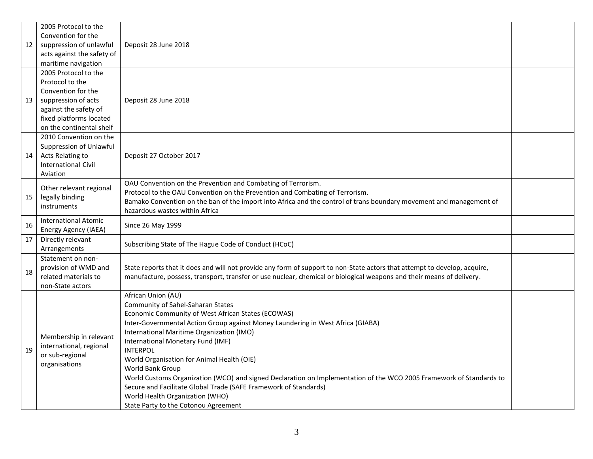|    | 2005 Protocol to the                         |                                                                                                                                                                                                                                                    |  |  |  |  |  |  |  |
|----|----------------------------------------------|----------------------------------------------------------------------------------------------------------------------------------------------------------------------------------------------------------------------------------------------------|--|--|--|--|--|--|--|
|    | Convention for the                           |                                                                                                                                                                                                                                                    |  |  |  |  |  |  |  |
| 12 | suppression of unlawful                      | Deposit 28 June 2018                                                                                                                                                                                                                               |  |  |  |  |  |  |  |
|    | acts against the safety of                   |                                                                                                                                                                                                                                                    |  |  |  |  |  |  |  |
|    | maritime navigation                          |                                                                                                                                                                                                                                                    |  |  |  |  |  |  |  |
|    | 2005 Protocol to the                         |                                                                                                                                                                                                                                                    |  |  |  |  |  |  |  |
|    | Protocol to the                              |                                                                                                                                                                                                                                                    |  |  |  |  |  |  |  |
|    | Convention for the                           |                                                                                                                                                                                                                                                    |  |  |  |  |  |  |  |
| 13 | suppression of acts                          | Deposit 28 June 2018                                                                                                                                                                                                                               |  |  |  |  |  |  |  |
|    | against the safety of                        |                                                                                                                                                                                                                                                    |  |  |  |  |  |  |  |
|    | fixed platforms located                      |                                                                                                                                                                                                                                                    |  |  |  |  |  |  |  |
|    | on the continental shelf                     |                                                                                                                                                                                                                                                    |  |  |  |  |  |  |  |
|    | 2010 Convention on the                       |                                                                                                                                                                                                                                                    |  |  |  |  |  |  |  |
|    | Suppression of Unlawful                      |                                                                                                                                                                                                                                                    |  |  |  |  |  |  |  |
| 14 | Acts Relating to                             | Deposit 27 October 2017                                                                                                                                                                                                                            |  |  |  |  |  |  |  |
|    | <b>International Civil</b>                   |                                                                                                                                                                                                                                                    |  |  |  |  |  |  |  |
|    | Aviation                                     |                                                                                                                                                                                                                                                    |  |  |  |  |  |  |  |
|    | Other relevant regional                      | OAU Convention on the Prevention and Combating of Terrorism.                                                                                                                                                                                       |  |  |  |  |  |  |  |
| 15 | legally binding                              | Protocol to the OAU Convention on the Prevention and Combating of Terrorism.                                                                                                                                                                       |  |  |  |  |  |  |  |
|    | instruments                                  | Bamako Convention on the ban of the import into Africa and the control of trans boundary movement and management of                                                                                                                                |  |  |  |  |  |  |  |
|    |                                              | hazardous wastes within Africa                                                                                                                                                                                                                     |  |  |  |  |  |  |  |
| 16 | <b>International Atomic</b>                  | Since 26 May 1999                                                                                                                                                                                                                                  |  |  |  |  |  |  |  |
|    | Energy Agency (IAEA)                         |                                                                                                                                                                                                                                                    |  |  |  |  |  |  |  |
| 17 | Directly relevant                            | Subscribing State of The Hague Code of Conduct (HCoC)                                                                                                                                                                                              |  |  |  |  |  |  |  |
|    | Arrangements                                 |                                                                                                                                                                                                                                                    |  |  |  |  |  |  |  |
|    | Statement on non-                            |                                                                                                                                                                                                                                                    |  |  |  |  |  |  |  |
| 18 | provision of WMD and<br>related materials to | State reports that it does and will not provide any form of support to non-State actors that attempt to develop, acquire,<br>manufacture, possess, transport, transfer or use nuclear, chemical or biological weapons and their means of delivery. |  |  |  |  |  |  |  |
|    | non-State actors                             |                                                                                                                                                                                                                                                    |  |  |  |  |  |  |  |
|    |                                              | African Union (AU)                                                                                                                                                                                                                                 |  |  |  |  |  |  |  |
|    |                                              | Community of Sahel-Saharan States                                                                                                                                                                                                                  |  |  |  |  |  |  |  |
|    |                                              | Economic Community of West African States (ECOWAS)                                                                                                                                                                                                 |  |  |  |  |  |  |  |
|    |                                              | Inter-Governmental Action Group against Money Laundering in West Africa (GIABA)                                                                                                                                                                    |  |  |  |  |  |  |  |
|    |                                              | International Maritime Organization (IMO)                                                                                                                                                                                                          |  |  |  |  |  |  |  |
|    | Membership in relevant                       | International Monetary Fund (IMF)                                                                                                                                                                                                                  |  |  |  |  |  |  |  |
| 19 | international, regional                      | <b>INTERPOL</b>                                                                                                                                                                                                                                    |  |  |  |  |  |  |  |
|    | or sub-regional                              | World Organisation for Animal Health (OIE)                                                                                                                                                                                                         |  |  |  |  |  |  |  |
|    | organisations                                | World Bank Group                                                                                                                                                                                                                                   |  |  |  |  |  |  |  |
|    |                                              | World Customs Organization (WCO) and signed Declaration on Implementation of the WCO 2005 Framework of Standards to                                                                                                                                |  |  |  |  |  |  |  |
|    |                                              | Secure and Facilitate Global Trade (SAFE Framework of Standards)                                                                                                                                                                                   |  |  |  |  |  |  |  |
|    |                                              | World Health Organization (WHO)                                                                                                                                                                                                                    |  |  |  |  |  |  |  |
|    |                                              | State Party to the Cotonou Agreement                                                                                                                                                                                                               |  |  |  |  |  |  |  |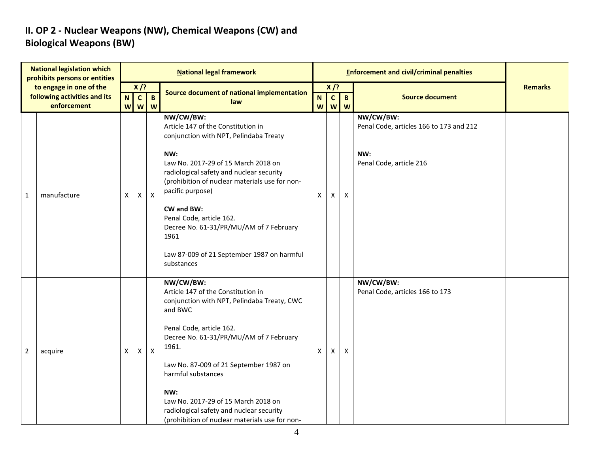### **II. OP 2 - Nuclear Weapons (NW), Chemical Weapons (CW) and Biological Weapons (BW)**

| <b>National legislation which</b><br>prohibits persons or entities |                                                         | <b>National legal framework</b> |                        |                |                                                                                                                                                                                                                                                                                                                                                                                                                    |              |                          | <b>Enforcement and civil/criminal penalties</b> |                                                                                        |                |
|--------------------------------------------------------------------|---------------------------------------------------------|---------------------------------|------------------------|----------------|--------------------------------------------------------------------------------------------------------------------------------------------------------------------------------------------------------------------------------------------------------------------------------------------------------------------------------------------------------------------------------------------------------------------|--------------|--------------------------|-------------------------------------------------|----------------------------------------------------------------------------------------|----------------|
|                                                                    | to engage in one of the<br>following activities and its | N                               | $X$ /?<br>$\mathbf{c}$ | $\mathbf{B}$   | Source document of national implementation                                                                                                                                                                                                                                                                                                                                                                         | N.           | $X$ /?<br>$\overline{c}$ | $\mathbf{B}$                                    | <b>Source document</b>                                                                 | <b>Remarks</b> |
|                                                                    | enforcement                                             | <b>W</b>                        | W                      | W              | law                                                                                                                                                                                                                                                                                                                                                                                                                |              | w w w                    |                                                 |                                                                                        |                |
| 1                                                                  | manufacture                                             | $\mathsf{X}$                    | Χ                      | $\pmb{\times}$ | NW/CW/BW:<br>Article 147 of the Constitution in<br>conjunction with NPT, Pelindaba Treaty<br>NW:<br>Law No. 2017-29 of 15 March 2018 on<br>radiological safety and nuclear security<br>(prohibition of nuclear materials use for non-<br>pacific purpose)<br>CW and BW:<br>Penal Code, article 162.<br>Decree No. 61-31/PR/MU/AM of 7 February<br>1961<br>Law 87-009 of 21 September 1987 on harmful<br>substances | $\mathsf{X}$ | Χ                        | Χ                                               | NW/CW/BW:<br>Penal Code, articles 166 to 173 and 212<br>NW:<br>Penal Code, article 216 |                |
| 2                                                                  | acquire                                                 | X.                              | Χ                      | $\mathsf{X}$   | NW/CW/BW:<br>Article 147 of the Constitution in<br>conjunction with NPT, Pelindaba Treaty, CWC<br>and BWC<br>Penal Code, article 162.<br>Decree No. 61-31/PR/MU/AM of 7 February<br>1961.<br>Law No. 87-009 of 21 September 1987 on<br>harmful substances<br>NW:<br>Law No. 2017-29 of 15 March 2018 on<br>radiological safety and nuclear security<br>(prohibition of nuclear materials use for non-              | X            | X                        | X                                               | NW/CW/BW:<br>Penal Code, articles 166 to 173                                           |                |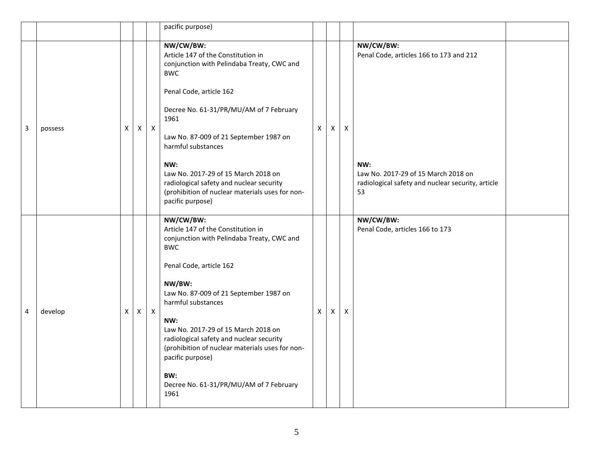|   |         |   |              |              | pacific purpose)                                                                                                                                                                                                                                                                                                                                                                                                                            |                           |          |   |                                                                                                                                                               |  |
|---|---------|---|--------------|--------------|---------------------------------------------------------------------------------------------------------------------------------------------------------------------------------------------------------------------------------------------------------------------------------------------------------------------------------------------------------------------------------------------------------------------------------------------|---------------------------|----------|---|---------------------------------------------------------------------------------------------------------------------------------------------------------------|--|
| 3 | possess | X | X            | $\mathsf{X}$ | NW/CW/BW:<br>Article 147 of the Constitution in<br>conjunction with Pelindaba Treaty, CWC and<br><b>BWC</b><br>Penal Code, article 162<br>Decree No. 61-31/PR/MU/AM of 7 February<br>1961<br>Law No. 87-009 of 21 September 1987 on<br>harmful substances<br>NW:<br>Law No. 2017-29 of 15 March 2018 on<br>radiological safety and nuclear security<br>(prohibition of nuclear materials uses for non-<br>pacific purpose)                  | $\mathsf{X}$              | $\times$ | X | NW/CW/BW:<br>Penal Code, articles 166 to 173 and 212<br>NW:<br>Law No. 2017-29 of 15 March 2018 on<br>radiological safety and nuclear security, article<br>53 |  |
| 4 | develop | X | $\mathsf{X}$ | $\mathsf{X}$ | NW/CW/BW:<br>Article 147 of the Constitution in<br>conjunction with Pelindaba Treaty, CWC and<br><b>BWC</b><br>Penal Code, article 162<br>NW/BW:<br>Law No. 87-009 of 21 September 1987 on<br>harmful substances<br>NW:<br>Law No. 2017-29 of 15 March 2018 on<br>radiological safety and nuclear security<br>(prohibition of nuclear materials uses for non-<br>pacific purpose)<br>BW:<br>Decree No. 61-31/PR/MU/AM of 7 February<br>1961 | $\boldsymbol{\mathsf{X}}$ | X        | X | NW/CW/BW:<br>Penal Code, articles 166 to 173                                                                                                                  |  |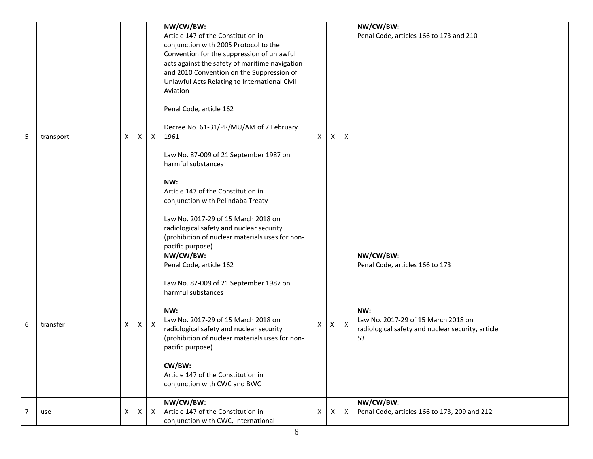| 5 | transport | Χ | X            | $\mathsf{X}$ | NW/CW/BW:<br>Article 147 of the Constitution in<br>conjunction with 2005 Protocol to the<br>Convention for the suppression of unlawful<br>acts against the safety of maritime navigation<br>and 2010 Convention on the Suppression of<br>Unlawful Acts Relating to International Civil<br>Aviation<br>Penal Code, article 162<br>Decree No. 61-31/PR/MU/AM of 7 February<br>1961<br>Law No. 87-009 of 21 September 1987 on<br>harmful substances<br>NW:<br>Article 147 of the Constitution in<br>conjunction with Pelindaba Treaty<br>Law No. 2017-29 of 15 March 2018 on<br>radiological safety and nuclear security<br>(prohibition of nuclear materials uses for non-<br>pacific purpose) | X | X        | $\mathsf{x}$              | NW/CW/BW:<br>Penal Code, articles 166 to 173 and 210                                                                                                  |  |
|---|-----------|---|--------------|--------------|----------------------------------------------------------------------------------------------------------------------------------------------------------------------------------------------------------------------------------------------------------------------------------------------------------------------------------------------------------------------------------------------------------------------------------------------------------------------------------------------------------------------------------------------------------------------------------------------------------------------------------------------------------------------------------------------|---|----------|---------------------------|-------------------------------------------------------------------------------------------------------------------------------------------------------|--|
| 6 | transfer  | X | $\mathsf{X}$ | $\mathsf{X}$ | NW/CW/BW:<br>Penal Code, article 162<br>Law No. 87-009 of 21 September 1987 on<br>harmful substances<br>NW:<br>Law No. 2017-29 of 15 March 2018 on<br>radiological safety and nuclear security<br>(prohibition of nuclear materials uses for non-<br>pacific purpose)<br>CW/BW:<br>Article 147 of the Constitution in<br>conjunction with CWC and BWC                                                                                                                                                                                                                                                                                                                                        | X | $\times$ | $\boldsymbol{\mathsf{X}}$ | NW/CW/BW:<br>Penal Code, articles 166 to 173<br>NW:<br>Law No. 2017-29 of 15 March 2018 on<br>radiological safety and nuclear security, article<br>53 |  |
| 7 | use       | x | Χ            | $\mathsf{X}$ | NW/CW/BW:<br>Article 147 of the Constitution in<br>conjunction with CWC, International                                                                                                                                                                                                                                                                                                                                                                                                                                                                                                                                                                                                       | X | X        | X                         | NW/CW/BW:<br>Penal Code, articles 166 to 173, 209 and 212                                                                                             |  |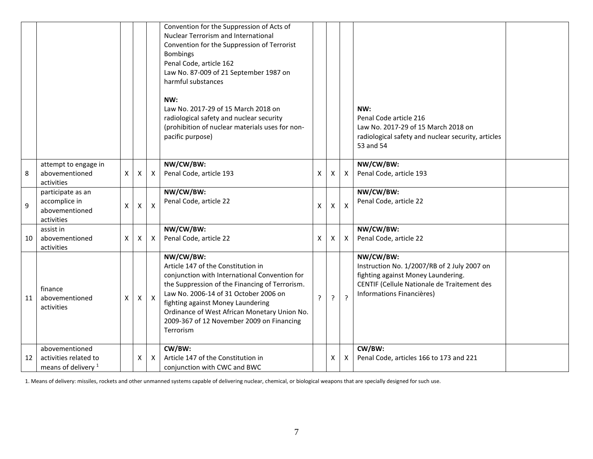|    |                                                                           |   |   |                           | Convention for the Suppression of Acts of<br>Nuclear Terrorism and International<br>Convention for the Suppression of Terrorist<br><b>Bombings</b><br>Penal Code, article 162<br>Law No. 87-009 of 21 September 1987 on<br>harmful substances<br>NW:<br>Law No. 2017-29 of 15 March 2018 on<br>radiological safety and nuclear security<br>(prohibition of nuclear materials uses for non-<br>pacific purpose) |             |              |                           | NW:<br>Penal Code article 216<br>Law No. 2017-29 of 15 March 2018 on<br>radiological safety and nuclear security, articles<br>53 and 54                                    |  |
|----|---------------------------------------------------------------------------|---|---|---------------------------|----------------------------------------------------------------------------------------------------------------------------------------------------------------------------------------------------------------------------------------------------------------------------------------------------------------------------------------------------------------------------------------------------------------|-------------|--------------|---------------------------|----------------------------------------------------------------------------------------------------------------------------------------------------------------------------|--|
| 8  | attempt to engage in<br>abovementioned<br>activities                      | X | Χ | X                         | NW/CW/BW:<br>Penal Code, article 193                                                                                                                                                                                                                                                                                                                                                                           | X           | Χ            | $\times$                  | NW/CW/BW:<br>Penal Code, article 193                                                                                                                                       |  |
| 9  | participate as an<br>accomplice in<br>abovementioned<br>activities        | X | X | $\boldsymbol{\mathsf{x}}$ | NW/CW/BW:<br>Penal Code, article 22                                                                                                                                                                                                                                                                                                                                                                            | X           | $\mathsf{x}$ | $\boldsymbol{\mathsf{X}}$ | NW/CW/BW:<br>Penal Code, article 22                                                                                                                                        |  |
| 10 | assist in<br>abovementioned<br>activities                                 | X | Χ | X                         | NW/CW/BW:<br>Penal Code, article 22                                                                                                                                                                                                                                                                                                                                                                            | X           | X            | Χ                         | NW/CW/BW:<br>Penal Code, article 22                                                                                                                                        |  |
| 11 | finance<br>abovementioned<br>activities                                   | X | X | $\mathsf{X}$              | NW/CW/BW:<br>Article 147 of the Constitution in<br>conjunction with International Convention for<br>the Suppression of the Financing of Terrorism.<br>Law No. 2006-14 of 31 October 2006 on<br>fighting against Money Laundering<br>Ordinance of West African Monetary Union No.<br>2009-367 of 12 November 2009 on Financing<br>Terrorism                                                                     | $\tilde{?}$ | ς            | $\overline{?}$            | NW/CW/BW:<br>Instruction No. 1/2007/RB of 2 July 2007 on<br>fighting against Money Laundering.<br>CENTIF (Cellule Nationale de Traitement des<br>Informations Financières) |  |
| 12 | abovementioned<br>activities related to<br>means of delivery <sup>1</sup> |   | X | X                         | CW/BW:<br>Article 147 of the Constitution in<br>conjunction with CWC and BWC                                                                                                                                                                                                                                                                                                                                   |             | X            | X                         | CW/BW:<br>Penal Code, articles 166 to 173 and 221                                                                                                                          |  |

1. Means of delivery: missiles, rockets and other unmanned systems capable of delivering nuclear, chemical, or biological weapons that are specially designed for such use.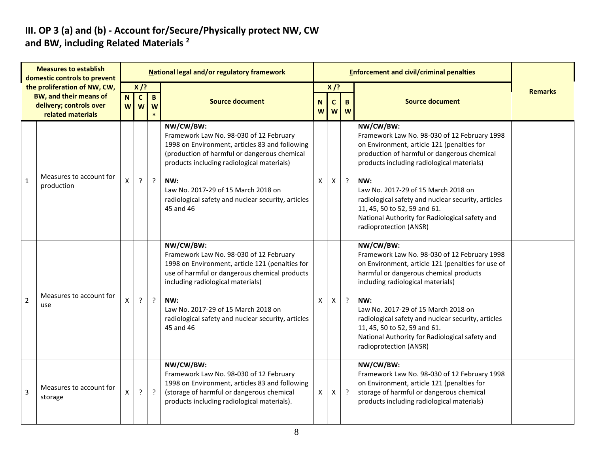#### **III. OP 3 (a) and (b) - Account for/Secure/Physically protect NW, CW and BW, including Related Materials <sup>2</sup>**

| <b>Measures to establish</b><br>domestic controls to prevent |                                                                                                               | National legal and/or regulatory framework |                             |                   |                                                                                                                                                                                                                                                                                                                       |                     |                            |         | <b>Enforcement and civil/criminal penalties</b>                                                                                                                                                                                                                                                                                                                                                                      |                |
|--------------------------------------------------------------|---------------------------------------------------------------------------------------------------------------|--------------------------------------------|-----------------------------|-------------------|-----------------------------------------------------------------------------------------------------------------------------------------------------------------------------------------------------------------------------------------------------------------------------------------------------------------------|---------------------|----------------------------|---------|----------------------------------------------------------------------------------------------------------------------------------------------------------------------------------------------------------------------------------------------------------------------------------------------------------------------------------------------------------------------------------------------------------------------|----------------|
|                                                              | the proliferation of NW, CW,<br><b>BW, and their means of</b><br>delivery; controls over<br>related materials | $\mathbf N$<br>W                           | $X$ /?<br>$\mathbf{C}$<br>W | $\mathbf{B}$<br>W | <b>Source document</b>                                                                                                                                                                                                                                                                                                | N <sub>1</sub><br>W | $X$ /?<br>$\mathbf C$<br>W | B<br>W  | <b>Source document</b>                                                                                                                                                                                                                                                                                                                                                                                               | <b>Remarks</b> |
| $\mathbf{1}$                                                 | Measures to account for<br>production                                                                         | X                                          | $\cdot$                     | $\ddot{?}$        | NW/CW/BW:<br>Framework Law No. 98-030 of 12 February<br>1998 on Environment, articles 83 and following<br>(production of harmful or dangerous chemical<br>products including radiological materials)<br>NW:<br>Law No. 2017-29 of 15 March 2018 on<br>radiological safety and nuclear security, articles<br>45 and 46 | X                   | X                          | $\cdot$ | NW/CW/BW:<br>Framework Law No. 98-030 of 12 February 1998<br>on Environment, article 121 (penalties for<br>production of harmful or dangerous chemical<br>products including radiological materials)<br>NW:<br>Law No. 2017-29 of 15 March 2018 on<br>radiological safety and nuclear security, articles<br>11, 45, 50 to 52, 59 and 61.<br>National Authority for Radiological safety and<br>radioprotection (ANSR) |                |
| $\overline{2}$                                               | Measures to account for<br>use                                                                                | X                                          | $\cdot$                     | $\ddot{?}$        | NW/CW/BW:<br>Framework Law No. 98-030 of 12 February<br>1998 on Environment, article 121 (penalties for<br>use of harmful or dangerous chemical products<br>including radiological materials)<br>NW:<br>Law No. 2017-29 of 15 March 2018 on<br>radiological safety and nuclear security, articles<br>45 and 46        | X                   | X                          | $\cdot$ | NW/CW/BW:<br>Framework Law No. 98-030 of 12 February 1998<br>on Environment, article 121 (penalties for use of<br>harmful or dangerous chemical products<br>including radiological materials)<br>NW:<br>Law No. 2017-29 of 15 March 2018 on<br>radiological safety and nuclear security, articles<br>11, 45, 50 to 52, 59 and 61.<br>National Authority for Radiological safety and<br>radioprotection (ANSR)        |                |
| 3                                                            | Measures to account for<br>storage                                                                            | X                                          | ?                           | $\ddot{?}$        | NW/CW/BW:<br>Framework Law No. 98-030 of 12 February<br>1998 on Environment, articles 83 and following<br>(storage of harmful or dangerous chemical<br>products including radiological materials).                                                                                                                    | X                   | X                          | $\cdot$ | NW/CW/BW:<br>Framework Law No. 98-030 of 12 February 1998<br>on Environment, article 121 (penalties for<br>storage of harmful or dangerous chemical<br>products including radiological materials)                                                                                                                                                                                                                    |                |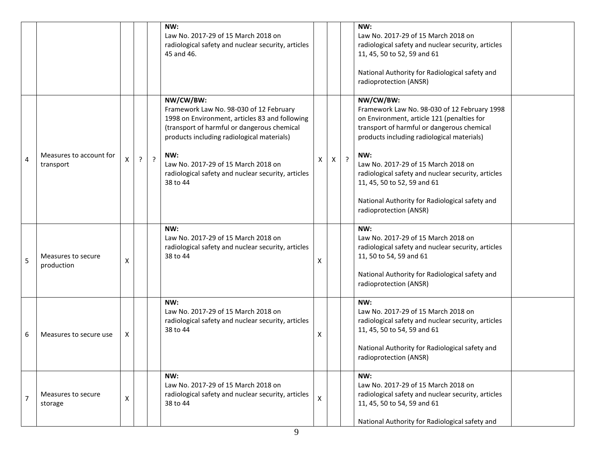|                |                                      |              |   |         | NW:<br>Law No. 2017-29 of 15 March 2018 on<br>radiological safety and nuclear security, articles<br>45 and 46.                                                                                                                                                                                                      |   |    |         | NW:<br>Law No. 2017-29 of 15 March 2018 on<br>radiological safety and nuclear security, articles<br>11, 45, 50 to 52, 59 and 61<br>National Authority for Radiological safety and<br>radioprotection (ANSR)                                                                                                                                                                                                        |  |
|----------------|--------------------------------------|--------------|---|---------|---------------------------------------------------------------------------------------------------------------------------------------------------------------------------------------------------------------------------------------------------------------------------------------------------------------------|---|----|---------|--------------------------------------------------------------------------------------------------------------------------------------------------------------------------------------------------------------------------------------------------------------------------------------------------------------------------------------------------------------------------------------------------------------------|--|
| 4              | Measures to account for<br>transport | X            | ? | $\cdot$ | NW/CW/BW:<br>Framework Law No. 98-030 of 12 February<br>1998 on Environment, articles 83 and following<br>(transport of harmful or dangerous chemical<br>products including radiological materials)<br>NW:<br>Law No. 2017-29 of 15 March 2018 on<br>radiological safety and nuclear security, articles<br>38 to 44 | Х | X. | $\cdot$ | NW/CW/BW:<br>Framework Law No. 98-030 of 12 February 1998<br>on Environment, article 121 (penalties for<br>transport of harmful or dangerous chemical<br>products including radiological materials)<br>NW:<br>Law No. 2017-29 of 15 March 2018 on<br>radiological safety and nuclear security, articles<br>11, 45, 50 to 52, 59 and 61<br>National Authority for Radiological safety and<br>radioprotection (ANSR) |  |
| 5              | Measures to secure<br>production     | Χ            |   |         | NW:<br>Law No. 2017-29 of 15 March 2018 on<br>radiological safety and nuclear security, articles<br>38 to 44                                                                                                                                                                                                        | x |    |         | NW:<br>Law No. 2017-29 of 15 March 2018 on<br>radiological safety and nuclear security, articles<br>11, 50 to 54, 59 and 61<br>National Authority for Radiological safety and<br>radioprotection (ANSR)                                                                                                                                                                                                            |  |
| 6              | Measures to secure use               | X            |   |         | NW:<br>Law No. 2017-29 of 15 March 2018 on<br>radiological safety and nuclear security, articles<br>38 to 44                                                                                                                                                                                                        | Χ |    |         | NW:<br>Law No. 2017-29 of 15 March 2018 on<br>radiological safety and nuclear security, articles<br>11, 45, 50 to 54, 59 and 61<br>National Authority for Radiological safety and<br>radioprotection (ANSR)                                                                                                                                                                                                        |  |
| $\overline{7}$ | Measures to secure<br>storage        | $\mathsf{X}$ |   |         | NW:<br>Law No. 2017-29 of 15 March 2018 on<br>radiological safety and nuclear security, articles<br>38 to 44                                                                                                                                                                                                        | X |    |         | NW:<br>Law No. 2017-29 of 15 March 2018 on<br>radiological safety and nuclear security, articles<br>11, 45, 50 to 54, 59 and 61<br>National Authority for Radiological safety and                                                                                                                                                                                                                                  |  |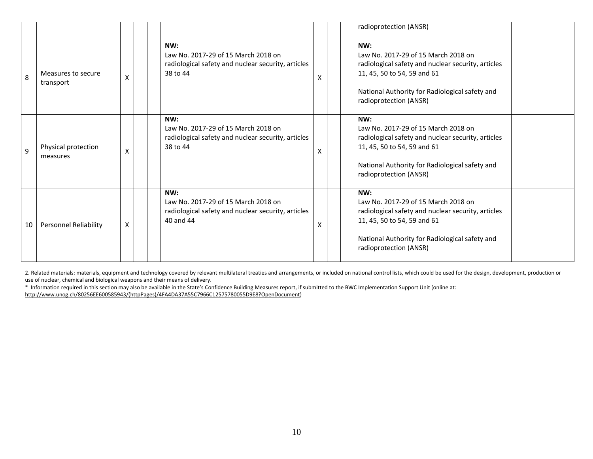|    |                                 |   |                                                                                                               |   | radioprotection (ANSR)                                                                                                                                                                                      |
|----|---------------------------------|---|---------------------------------------------------------------------------------------------------------------|---|-------------------------------------------------------------------------------------------------------------------------------------------------------------------------------------------------------------|
| 8  | Measures to secure<br>transport | X | NW:<br>Law No. 2017-29 of 15 March 2018 on<br>radiological safety and nuclear security, articles<br>38 to 44  | X | NW:<br>Law No. 2017-29 of 15 March 2018 on<br>radiological safety and nuclear security, articles<br>11, 45, 50 to 54, 59 and 61<br>National Authority for Radiological safety and<br>radioprotection (ANSR) |
| q  | Physical protection<br>measures | X | NW:<br>Law No. 2017-29 of 15 March 2018 on<br>radiological safety and nuclear security, articles<br>38 to 44  | X | NW:<br>Law No. 2017-29 of 15 March 2018 on<br>radiological safety and nuclear security, articles<br>11, 45, 50 to 54, 59 and 61<br>National Authority for Radiological safety and<br>radioprotection (ANSR) |
| 10 | <b>Personnel Reliability</b>    | X | NW:<br>Law No. 2017-29 of 15 March 2018 on<br>radiological safety and nuclear security, articles<br>40 and 44 | X | NW:<br>Law No. 2017-29 of 15 March 2018 on<br>radiological safety and nuclear security, articles<br>11, 45, 50 to 54, 59 and 61<br>National Authority for Radiological safety and<br>radioprotection (ANSR) |

2. Related materials: materials, equipment and technology covered by relevant multilateral treaties and arrangements, or included on national control lists, which could be used for the design, development, production or use of nuclear, chemical and biological weapons and their means of delivery.

\* Information required in this section may also be available in the State's Confidence Building Measures report, if submitted to the BWC Implementation Support Unit (online at:

http://www.unog.ch/80256EE600585943/(httpPages)/4FA4DA37A55C7966C12575780055D9E8?OpenDocument)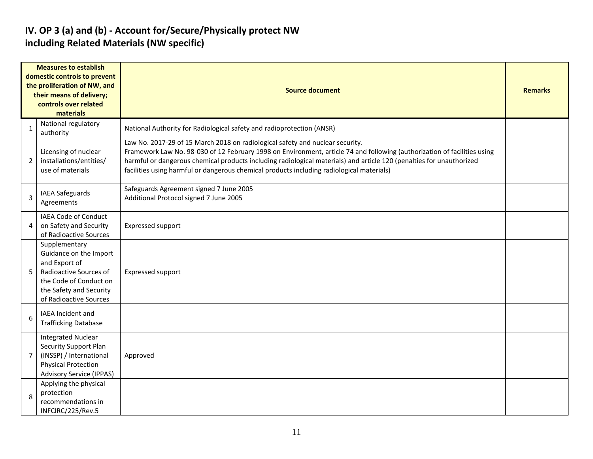#### **IV. OP 3 (a) and (b) - Account for/Secure/Physically protect NW including Related Materials (NW specific)**

|                | <b>Measures to establish</b><br>domestic controls to prevent<br>the proliferation of NW, and<br>their means of delivery;<br>controls over related<br>materials    | <b>Source document</b>                                                                                                                                                                                                                                                                                                                                                                                                         | <b>Remarks</b> |
|----------------|-------------------------------------------------------------------------------------------------------------------------------------------------------------------|--------------------------------------------------------------------------------------------------------------------------------------------------------------------------------------------------------------------------------------------------------------------------------------------------------------------------------------------------------------------------------------------------------------------------------|----------------|
| $\mathbf{1}$   | National regulatory<br>authority                                                                                                                                  | National Authority for Radiological safety and radioprotection (ANSR)                                                                                                                                                                                                                                                                                                                                                          |                |
| 2              | Licensing of nuclear<br>installations/entities/<br>use of materials                                                                                               | Law No. 2017-29 of 15 March 2018 on radiological safety and nuclear security.<br>Framework Law No. 98-030 of 12 February 1998 on Environment, article 74 and following (authorization of facilities using<br>harmful or dangerous chemical products including radiological materials) and article 120 (penalties for unauthorized<br>facilities using harmful or dangerous chemical products including radiological materials) |                |
| 3              | IAEA Safeguards<br>Agreements                                                                                                                                     | Safeguards Agreement signed 7 June 2005<br>Additional Protocol signed 7 June 2005                                                                                                                                                                                                                                                                                                                                              |                |
| 4              | IAEA Code of Conduct<br>on Safety and Security<br>of Radioactive Sources                                                                                          | <b>Expressed support</b>                                                                                                                                                                                                                                                                                                                                                                                                       |                |
| 5              | Supplementary<br>Guidance on the Import<br>and Export of<br>Radioactive Sources of<br>the Code of Conduct on<br>the Safety and Security<br>of Radioactive Sources | <b>Expressed support</b>                                                                                                                                                                                                                                                                                                                                                                                                       |                |
| 6              | IAEA Incident and<br><b>Trafficking Database</b>                                                                                                                  |                                                                                                                                                                                                                                                                                                                                                                                                                                |                |
| $\overline{7}$ | <b>Integrated Nuclear</b><br><b>Security Support Plan</b><br>(INSSP) / International<br><b>Physical Protection</b><br><b>Advisory Service (IPPAS)</b>             | Approved                                                                                                                                                                                                                                                                                                                                                                                                                       |                |
| 8              | Applying the physical<br>protection<br>recommendations in<br>INFCIRC/225/Rev.5                                                                                    |                                                                                                                                                                                                                                                                                                                                                                                                                                |                |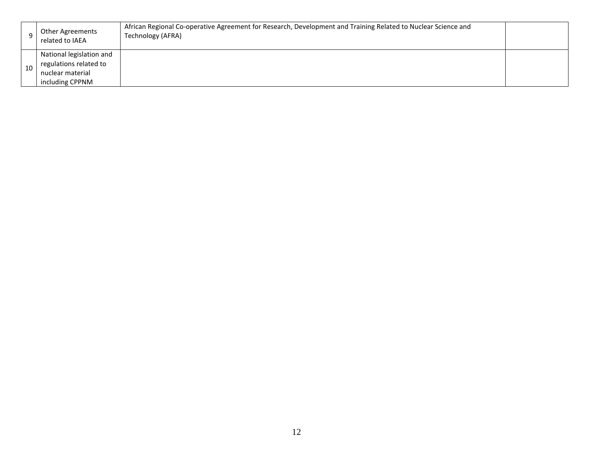|    | Other Agreements<br>related to IAEA                                    | African Regional Co-operative Agreement for Research, Development and Training Related to Nuclear Science and<br>Technology (AFRA) |  |
|----|------------------------------------------------------------------------|------------------------------------------------------------------------------------------------------------------------------------|--|
| 10 | National legislation and<br>regulations related to<br>nuclear material |                                                                                                                                    |  |
|    | including CPPNM                                                        |                                                                                                                                    |  |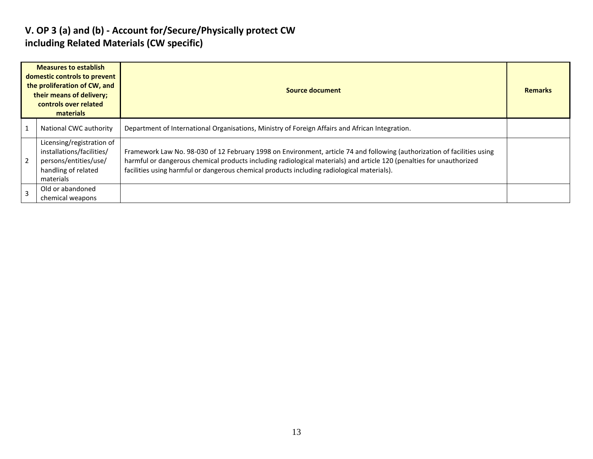#### **V. OP 3 (a) and (b) - Account for/Secure/Physically protect CW including Related Materials (CW specific)**

| <b>Measures to establish</b><br>domestic controls to prevent<br>the proliferation of CW, and<br>their means of delivery;<br>controls over related<br>materials |                                                                                                                     | Source document                                                                                                                                                                                                                                                                                                                                |  |  |  |  |  |
|----------------------------------------------------------------------------------------------------------------------------------------------------------------|---------------------------------------------------------------------------------------------------------------------|------------------------------------------------------------------------------------------------------------------------------------------------------------------------------------------------------------------------------------------------------------------------------------------------------------------------------------------------|--|--|--|--|--|
|                                                                                                                                                                | National CWC authority                                                                                              | Department of International Organisations, Ministry of Foreign Affairs and African Integration.                                                                                                                                                                                                                                                |  |  |  |  |  |
|                                                                                                                                                                | Licensing/registration of<br>installations/facilities/<br>persons/entities/use/<br>handling of related<br>materials | Framework Law No. 98-030 of 12 February 1998 on Environment, article 74 and following (authorization of facilities using<br>harmful or dangerous chemical products including radiological materials) and article 120 (penalties for unauthorized<br>facilities using harmful or dangerous chemical products including radiological materials). |  |  |  |  |  |
|                                                                                                                                                                | Old or abandoned<br>chemical weapons                                                                                |                                                                                                                                                                                                                                                                                                                                                |  |  |  |  |  |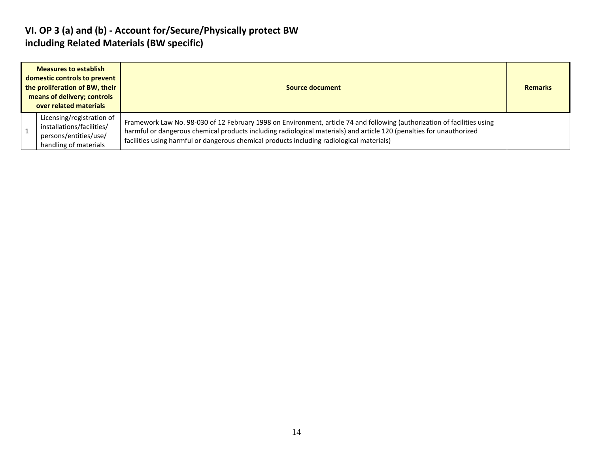#### **VI. OP 3 (a) and (b) - Account for/Secure/Physically protect BW including Related Materials (BW specific)**

| <b>Measures to establish</b><br>domestic controls to prevent<br>the proliferation of BW, their<br>means of delivery; controls<br>over related materials |                                                                                                          | Source document                                                                                                                                                                                                                                                                                                                               | <b>Remarks</b> |
|---------------------------------------------------------------------------------------------------------------------------------------------------------|----------------------------------------------------------------------------------------------------------|-----------------------------------------------------------------------------------------------------------------------------------------------------------------------------------------------------------------------------------------------------------------------------------------------------------------------------------------------|----------------|
|                                                                                                                                                         | Licensing/registration of<br>installations/facilities/<br>persons/entities/use/<br>handling of materials | Framework Law No. 98-030 of 12 February 1998 on Environment, article 74 and following (authorization of facilities using<br>harmful or dangerous chemical products including radiological materials) and article 120 (penalties for unauthorized<br>facilities using harmful or dangerous chemical products including radiological materials) |                |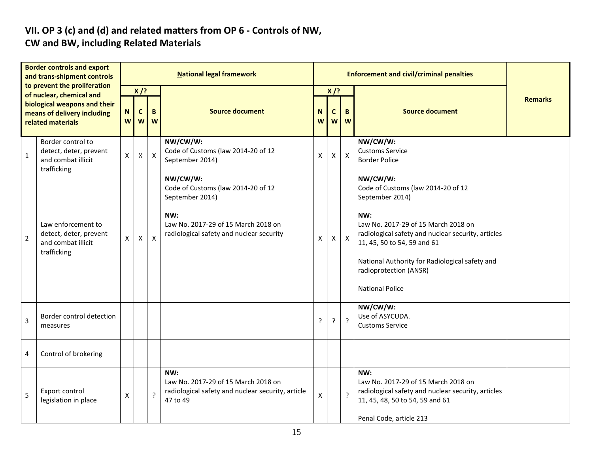#### **VII. OP 3 (c) and (d) and related matters from OP 6 - Controls of NW, CW and BW, including Related Materials**

| <b>Border controls and export</b><br>and trans-shipment controls<br>to prevent the proliferation |                                                                                                                        | <b>National legal framework</b> |                             |                                                                                                                                                             |                                                                                                             |        |                                                                    | <b>Enforcement and civil/criminal penalties</b>                                                                                                                                                                                                                                                            |                                                                                                                                                                |  |
|--------------------------------------------------------------------------------------------------|------------------------------------------------------------------------------------------------------------------------|---------------------------------|-----------------------------|-------------------------------------------------------------------------------------------------------------------------------------------------------------|-------------------------------------------------------------------------------------------------------------|--------|--------------------------------------------------------------------|------------------------------------------------------------------------------------------------------------------------------------------------------------------------------------------------------------------------------------------------------------------------------------------------------------|----------------------------------------------------------------------------------------------------------------------------------------------------------------|--|
|                                                                                                  | of nuclear, chemical and<br>biological weapons and their<br>means of delivery including<br>related materials           | N<br>W                          | $X$ /?<br>$\mathbf{C}$<br>W | B<br>W                                                                                                                                                      | <b>Source document</b>                                                                                      | N<br>W | $X$ /?<br><b>Source document</b><br>$\mathbf c$<br>B<br><b>W</b> W |                                                                                                                                                                                                                                                                                                            | <b>Remarks</b>                                                                                                                                                 |  |
| Border control to<br>detect, deter, prevent<br>$\mathbf{1}$<br>and combat illicit<br>trafficking |                                                                                                                        | $\mathsf{X}$                    | X                           | $\mathsf{X}$                                                                                                                                                | NW/CW/W:<br>Code of Customs (law 2014-20 of 12<br>September 2014)                                           | X      | X                                                                  | $\boldsymbol{\mathsf{X}}$                                                                                                                                                                                                                                                                                  | NW/CW/W:<br><b>Customs Service</b><br><b>Border Police</b>                                                                                                     |  |
| $\overline{2}$                                                                                   | Law enforcement to<br>detect, deter, prevent<br>X<br>$\mathsf{X}$<br>$\mathsf{X}$<br>and combat illicit<br>trafficking |                                 |                             | NW/CW/W:<br>Code of Customs (law 2014-20 of 12<br>September 2014)<br>NW:<br>Law No. 2017-29 of 15 March 2018 on<br>radiological safety and nuclear security | X                                                                                                           | X      | $\boldsymbol{X}$                                                   | NW/CW/W:<br>Code of Customs (law 2014-20 of 12<br>September 2014)<br>NW:<br>Law No. 2017-29 of 15 March 2018 on<br>radiological safety and nuclear security, articles<br>11, 45, 50 to 54, 59 and 61<br>National Authority for Radiological safety and<br>radioprotection (ANSR)<br><b>National Police</b> |                                                                                                                                                                |  |
| 3                                                                                                | Border control detection<br>measures                                                                                   |                                 |                             |                                                                                                                                                             | ?                                                                                                           | ?      | $\cdot$                                                            | NW/CW/W:<br>Use of ASYCUDA.<br><b>Customs Service</b>                                                                                                                                                                                                                                                      |                                                                                                                                                                |  |
| 4                                                                                                | Control of brokering                                                                                                   |                                 |                             |                                                                                                                                                             |                                                                                                             |        |                                                                    |                                                                                                                                                                                                                                                                                                            |                                                                                                                                                                |  |
| 5                                                                                                | Export control<br>legislation in place                                                                                 | $\pmb{\times}$                  |                             | $\overline{?}$                                                                                                                                              | NW:<br>Law No. 2017-29 of 15 March 2018 on<br>radiological safety and nuclear security, article<br>47 to 49 | X      |                                                                    | $\overline{?}$                                                                                                                                                                                                                                                                                             | NW:<br>Law No. 2017-29 of 15 March 2018 on<br>radiological safety and nuclear security, articles<br>11, 45, 48, 50 to 54, 59 and 61<br>Penal Code, article 213 |  |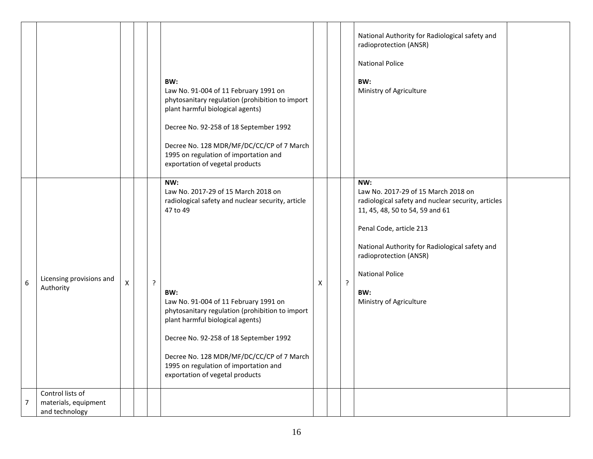|                  |                                                            |   |   | BW:<br>Law No. 91-004 of 11 February 1991 on<br>phytosanitary regulation (prohibition to import<br>plant harmful biological agents)<br>Decree No. 92-258 of 18 September 1992<br>Decree No. 128 MDR/MF/DC/CC/CP of 7 March<br>1995 on regulation of importation and<br>exportation of vegetal products                                                                                                                |   |   | National Authority for Radiological safety and<br>radioprotection (ANSR)<br><b>National Police</b><br>BW:<br>Ministry of Agriculture                                                                                                                                                                   |  |
|------------------|------------------------------------------------------------|---|---|-----------------------------------------------------------------------------------------------------------------------------------------------------------------------------------------------------------------------------------------------------------------------------------------------------------------------------------------------------------------------------------------------------------------------|---|---|--------------------------------------------------------------------------------------------------------------------------------------------------------------------------------------------------------------------------------------------------------------------------------------------------------|--|
| $\boldsymbol{6}$ | Licensing provisions and<br>Authority                      | X | ? | NW:<br>Law No. 2017-29 of 15 March 2018 on<br>radiological safety and nuclear security, article<br>47 to 49<br>BW:<br>Law No. 91-004 of 11 February 1991 on<br>phytosanitary regulation (prohibition to import<br>plant harmful biological agents)<br>Decree No. 92-258 of 18 September 1992<br>Decree No. 128 MDR/MF/DC/CC/CP of 7 March<br>1995 on regulation of importation and<br>exportation of vegetal products | Χ | ? | NW:<br>Law No. 2017-29 of 15 March 2018 on<br>radiological safety and nuclear security, articles<br>11, 45, 48, 50 to 54, 59 and 61<br>Penal Code, article 213<br>National Authority for Radiological safety and<br>radioprotection (ANSR)<br><b>National Police</b><br>BW:<br>Ministry of Agriculture |  |
| $\overline{7}$   | Control lists of<br>materials, equipment<br>and technology |   |   |                                                                                                                                                                                                                                                                                                                                                                                                                       |   |   |                                                                                                                                                                                                                                                                                                        |  |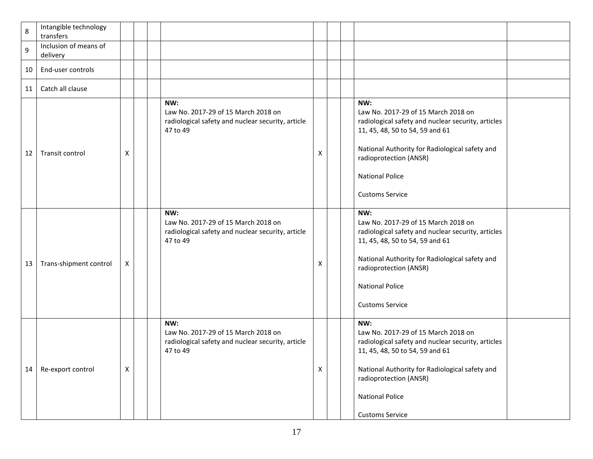| 8  | Intangible technology<br>transfers |   |                                                                                                             |   |                                                                                                                                                                                                                                                                     |  |
|----|------------------------------------|---|-------------------------------------------------------------------------------------------------------------|---|---------------------------------------------------------------------------------------------------------------------------------------------------------------------------------------------------------------------------------------------------------------------|--|
| 9  | Inclusion of means of<br>delivery  |   |                                                                                                             |   |                                                                                                                                                                                                                                                                     |  |
| 10 | End-user controls                  |   |                                                                                                             |   |                                                                                                                                                                                                                                                                     |  |
| 11 | Catch all clause                   |   |                                                                                                             |   |                                                                                                                                                                                                                                                                     |  |
| 12 | Transit control                    | X | NW:<br>Law No. 2017-29 of 15 March 2018 on<br>radiological safety and nuclear security, article<br>47 to 49 | X | NW:<br>Law No. 2017-29 of 15 March 2018 on<br>radiological safety and nuclear security, articles<br>11, 45, 48, 50 to 54, 59 and 61<br>National Authority for Radiological safety and<br>radioprotection (ANSR)<br><b>National Police</b><br><b>Customs Service</b> |  |
| 13 | Trans-shipment control             | X | NW:<br>Law No. 2017-29 of 15 March 2018 on<br>radiological safety and nuclear security, article<br>47 to 49 | х | NW:<br>Law No. 2017-29 of 15 March 2018 on<br>radiological safety and nuclear security, articles<br>11, 45, 48, 50 to 54, 59 and 61<br>National Authority for Radiological safety and<br>radioprotection (ANSR)<br><b>National Police</b><br><b>Customs Service</b> |  |
| 14 | Re-export control                  | X | NW:<br>Law No. 2017-29 of 15 March 2018 on<br>radiological safety and nuclear security, article<br>47 to 49 | X | NW:<br>Law No. 2017-29 of 15 March 2018 on<br>radiological safety and nuclear security, articles<br>11, 45, 48, 50 to 54, 59 and 61<br>National Authority for Radiological safety and<br>radioprotection (ANSR)<br><b>National Police</b><br><b>Customs Service</b> |  |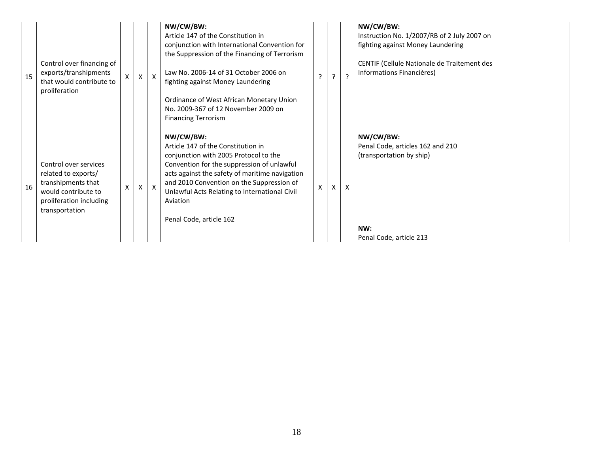| 15 | Control over financing of<br>exports/transhipments<br>that would contribute to<br>proliferation                                        | $\mathsf{X}$ | $\pmb{\times}$ | $\mathsf{X}$ | NW/CW/BW:<br>Article 147 of the Constitution in<br>conjunction with International Convention for<br>the Suppression of the Financing of Terrorism<br>Law No. 2006-14 of 31 October 2006 on<br>fighting against Money Laundering<br>Ordinance of West African Monetary Union<br>No. 2009-367 of 12 November 2009 on<br><b>Financing Terrorism</b> | $\mathbf{r}$ | $\overline{z}$            | NW/CW/BW:<br>Instruction No. 1/2007/RB of 2 July 2007 on<br>fighting against Money Laundering<br>CENTIF (Cellule Nationale de Traitement des<br>Informations Financières) |  |
|----|----------------------------------------------------------------------------------------------------------------------------------------|--------------|----------------|--------------|--------------------------------------------------------------------------------------------------------------------------------------------------------------------------------------------------------------------------------------------------------------------------------------------------------------------------------------------------|--------------|---------------------------|---------------------------------------------------------------------------------------------------------------------------------------------------------------------------|--|
| 16 | Control over services<br>related to exports/<br>transhipments that<br>would contribute to<br>proliferation including<br>transportation | X            |                | $\mathsf{X}$ | NW/CW/BW:<br>Article 147 of the Constitution in<br>conjunction with 2005 Protocol to the<br>Convention for the suppression of unlawful<br>acts against the safety of maritime navigation<br>and 2010 Convention on the Suppression of<br>Unlawful Acts Relating to International Civil<br>Aviation<br>Penal Code, article 162                    | X            | $\boldsymbol{\mathsf{x}}$ | NW/CW/BW:<br>Penal Code, articles 162 and 210<br>(transportation by ship)<br>NW:<br>Penal Code, article 213                                                               |  |